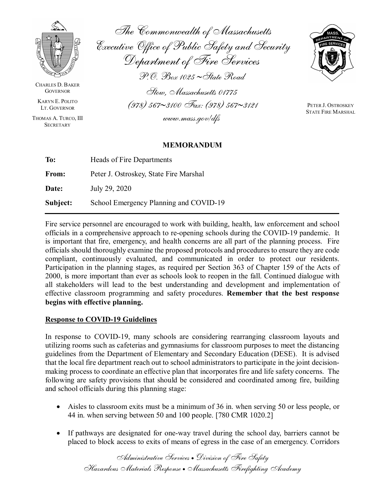

CHARLES D. BAKER **GOVERNOR** 

KARYN E. POLITO LT. GOVERNOR

THOMAS A. TURCO, III **SECRETARY** 

The Commonwealth of Massachusetts Executive Office of Public Safety and Security Department of Fire Services P.O. Box 1025 ∼State Road Stow, Massachusetts 01775 (978) 567∼3100 Fax: (978) 567∼3121



PETER J. OSTROSKEY STATE FIRE MARSHAL

### **MEMORANDUM**

www.mass.gov/dfs

| To:      | Heads of Fire Departments              |  |
|----------|----------------------------------------|--|
| From:    | Peter J. Ostroskey, State Fire Marshal |  |
| Date:    | July 29, 2020                          |  |
| Subject: | School Emergency Planning and COVID-19 |  |

Fire service personnel are encouraged to work with building, health, law enforcement and school officials in a comprehensive approach to re-opening schools during the COVID-19 pandemic. It is important that fire, emergency, and health concerns are all part of the planning process. Fire officials should thoroughly examine the proposed protocols and procedures to ensure they are code compliant, continuously evaluated, and communicated in order to protect our residents. Participation in the planning stages, as required per Section 363 of Chapter 159 of the Acts of 2000, is more important than ever as schools look to reopen in the fall. Continued dialogue with all stakeholders will lead to the best understanding and development and implementation of effective classroom programming and safety procedures. **Remember that the best response begins with effective planning.**

## **Response to COVID-19 Guidelines**

In response to COVID-19, many schools are considering rearranging classroom layouts and utilizing rooms such as cafeterias and gymnasiums for classroom purposes to meet the distancing guidelines from the Department of Elementary and Secondary Education (DESE). It is advised that the local fire department reach out to school administrators to participate in the joint decisionmaking process to coordinate an effective plan that incorporates fire and life safety concerns. The following are safety provisions that should be considered and coordinated among fire, building and school officials during this planning stage:

- Aisles to classroom exits must be a minimum of 36 in. when serving 50 or less people, or 44 in. when serving between 50 and 100 people. [780 CMR 1020.2]
- If pathways are designated for one-way travel during the school day, barriers cannot be placed to block access to exits of means of egress in the case of an emergency. Corridors

Administrative Services • Division of Fire Safety Hazardous Materials Response • Massachusetts Firefighting Academy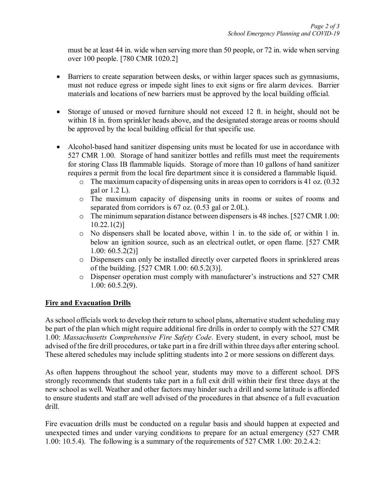must be at least 44 in. wide when serving more than 50 people, or 72 in. wide when serving over 100 people. [780 CMR 1020.2]

- Barriers to create separation between desks, or within larger spaces such as gymnasiums, must not reduce egress or impede sight lines to exit signs or fire alarm devices. Barrier materials and locations of new barriers must be approved by the local building official.
- Storage of unused or moved furniture should not exceed 12 ft. in height, should not be within 18 in. from sprinkler heads above, and the designated storage areas or rooms should be approved by the local building official for that specific use.
- Alcohol-based hand sanitizer dispensing units must be located for use in accordance with 527 CMR 1.00. Storage of hand sanitizer bottles and refills must meet the requirements for storing Class IB flammable liquids. Storage of more than 10 gallons of hand sanitizer requires a permit from the local fire department since it is considered a flammable liquid.
	- o The maximum capacity of dispensing units in areas open to corridors is 41 oz. (0.32 gal or 1.2 L).
	- o The maximum capacity of dispensing units in rooms or suites of rooms and separated from corridors is 67 oz. (0.53 gal or 2.0L).
	- o The minimum separation distance between dispensers is 48 inches. [527 CMR 1.00: 10.22.1(2)]
	- o No dispensers shall be located above, within 1 in. to the side of, or within 1 in. below an ignition source, such as an electrical outlet, or open flame. [527 CMR 1.00: 60.5.2(2)]
	- o Dispensers can only be installed directly over carpeted floors in sprinklered areas of the building. [527 CMR 1.00: 60.5.2(3)].
	- o Dispenser operation must comply with manufacturer's instructions and 527 CMR 1.00: 60.5.2(9).

## **Fire and Evacuation Drills**

As school officials work to develop their return to school plans, alternative student scheduling may be part of the plan which might require additional fire drills in order to comply with the 527 CMR 1.00: *Massachusetts Comprehensive Fire Safety Code*. Every student, in every school, must be advised of the fire drill procedures, or take part in a fire drill within three days after entering school. These altered schedules may include splitting students into 2 or more sessions on different days.

As often happens throughout the school year, students may move to a different school. DFS strongly recommends that students take part in a full exit drill within their first three days at the new school as well. Weather and other factors may hinder such a drill and some latitude is afforded to ensure students and staff are well advised of the procedures in that absence of a full evacuation drill.

Fire evacuation drills must be conducted on a regular basis and should happen at expected and unexpected times and under varying conditions to prepare for an actual emergency (527 CMR 1.00: 10.5.4). The following is a summary of the requirements of 527 CMR 1.00: 20.2.4.2: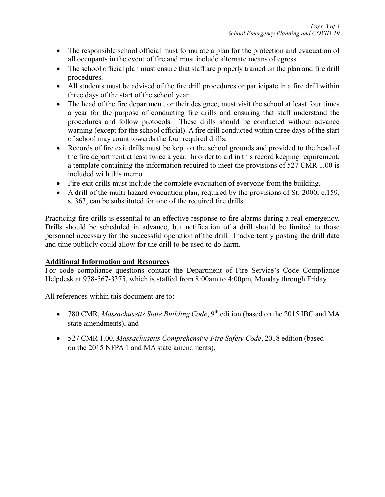- The responsible school official must formulate a plan for the protection and evacuation of all occupants in the event of fire and must include alternate means of egress.
- The school official plan must ensure that staff are properly trained on the plan and fire drill procedures.
- All students must be advised of the fire drill procedures or participate in a fire drill within three days of the start of the school year.
- The head of the fire department, or their designee, must visit the school at least four times a year for the purpose of conducting fire drills and ensuring that staff understand the procedures and follow protocols. These drills should be conducted without advance warning (except for the school official). A fire drill conducted within three days of the start of school may count towards the four required drills.
- Records of fire exit drills must be kept on the school grounds and provided to the head of the fire department at least twice a year. In order to aid in this record keeping requirement, a template containing the information required to meet the provisions of 527 CMR 1.00 is included with this memo
- Fire exit drills must include the complete evacuation of everyone from the building.
- A drill of the multi-hazard evacuation plan, required by the provisions of St. 2000, c.159, s. 363, can be substituted for one of the required fire drills.

Practicing fire drills is essential to an effective response to fire alarms during a real emergency. Drills should be scheduled in advance, but notification of a drill should be limited to those personnel necessary for the successful operation of the drill. Inadvertently posting the drill date and time publicly could allow for the drill to be used to do harm.

## **Additional Information and Resources**

For code compliance questions contact the Department of Fire Service's Code Compliance Helpdesk at 978-567-3375, which is staffed from 8:00am to 4:00pm, Monday through Friday.

All references within this document are to:

- 780 CMR, *Massachusetts State Building Code*, 9<sup>th</sup> edition (based on the 2015 IBC and MA state amendments), and
- 527 CMR 1.00, *Massachusetts Comprehensive Fire Safety Code*, 2018 edition (based on the 2015 NFPA 1 and MA state amendments).